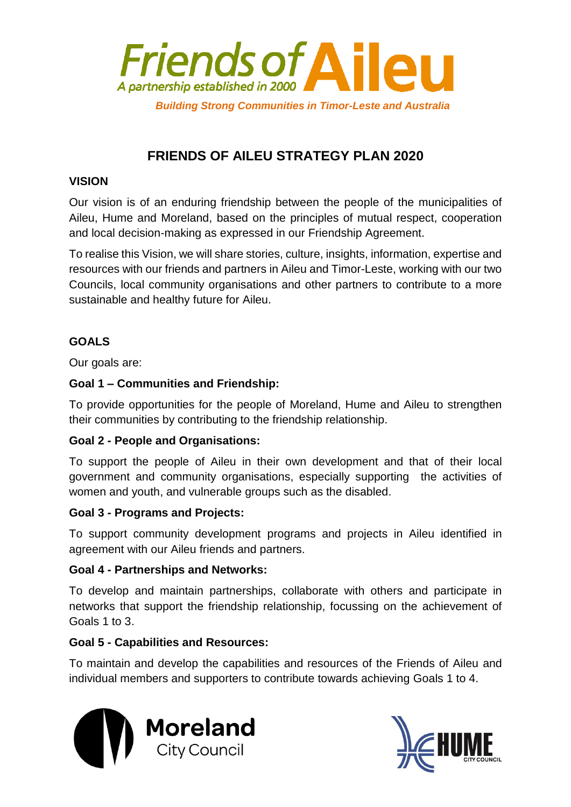

# **FRIENDS OF AILEU STRATEGY PLAN 2020**

# **VISION**

Our vision is of an enduring friendship between the people of the municipalities of Aileu, Hume and Moreland, based on the principles of mutual respect, cooperation and local decision-making as expressed in our Friendship Agreement.

To realise this Vision, we will share stories, culture, insights, information, expertise and resources with our friends and partners in Aileu and Timor-Leste, working with our two Councils, local community organisations and other partners to contribute to a more sustainable and healthy future for Aileu.

# **GOALS**

Our goals are:

# **Goal 1 – Communities and Friendship:**

To provide opportunities for the people of Moreland, Hume and Aileu to strengthen their communities by contributing to the friendship relationship.

# **Goal 2 - People and Organisations:**

To support the people of Aileu in their own development and that of their local government and community organisations, especially supporting the activities of women and youth, and vulnerable groups such as the disabled.

# **Goal 3 - Programs and Projects:**

To support community development programs and projects in Aileu identified in agreement with our Aileu friends and partners.

# **Goal 4 - Partnerships and Networks:**

To develop and maintain partnerships, collaborate with others and participate in networks that support the friendship relationship, focussing on the achievement of Goals 1 to 3.

# **Goal 5 - Capabilities and Resources:**

To maintain and develop the capabilities and resources of the Friends of Aileu and individual members and supporters to contribute towards achieving Goals 1 to 4.



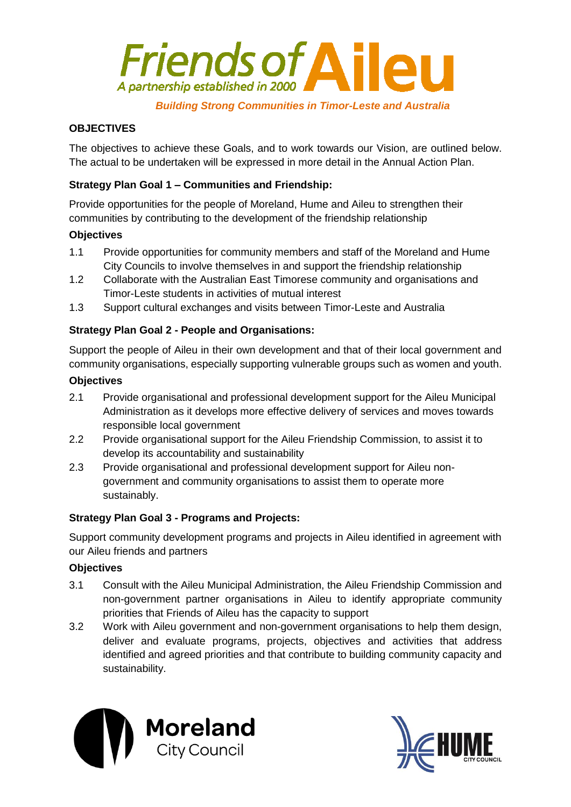

#### *Building Strong Communities in Timor-Leste and Australia*

## **OBJECTIVES**

The objectives to achieve these Goals, and to work towards our Vision, are outlined below. The actual to be undertaken will be expressed in more detail in the Annual Action Plan.

### **Strategy Plan Goal 1 – Communities and Friendship:**

Provide opportunities for the people of Moreland, Hume and Aileu to strengthen their communities by contributing to the development of the friendship relationship

#### **Objectives**

- 1.1 Provide opportunities for community members and staff of the Moreland and Hume City Councils to involve themselves in and support the friendship relationship
- 1.2 Collaborate with the Australian East Timorese community and organisations and Timor-Leste students in activities of mutual interest
- 1.3 Support cultural exchanges and visits between Timor-Leste and Australia

### **Strategy Plan Goal 2 - People and Organisations:**

Support the people of Aileu in their own development and that of their local government and community organisations, especially supporting vulnerable groups such as women and youth.

#### **Objectives**

- 2.1 Provide organisational and professional development support for the Aileu Municipal Administration as it develops more effective delivery of services and moves towards responsible local government
- 2.2 Provide organisational support for the Aileu Friendship Commission, to assist it to develop its accountability and sustainability
- 2.3 Provide organisational and professional development support for Aileu nongovernment and community organisations to assist them to operate more sustainably.

#### **Strategy Plan Goal 3 - Programs and Projects:**

Support community development programs and projects in Aileu identified in agreement with our Aileu friends and partners

#### **Objectives**

- 3.1 Consult with the Aileu Municipal Administration, the Aileu Friendship Commission and non-government partner organisations in Aileu to identify appropriate community priorities that Friends of Aileu has the capacity to support
- 3.2 Work with Aileu government and non-government organisations to help them design, deliver and evaluate programs, projects, objectives and activities that address identified and agreed priorities and that contribute to building community capacity and sustainability.